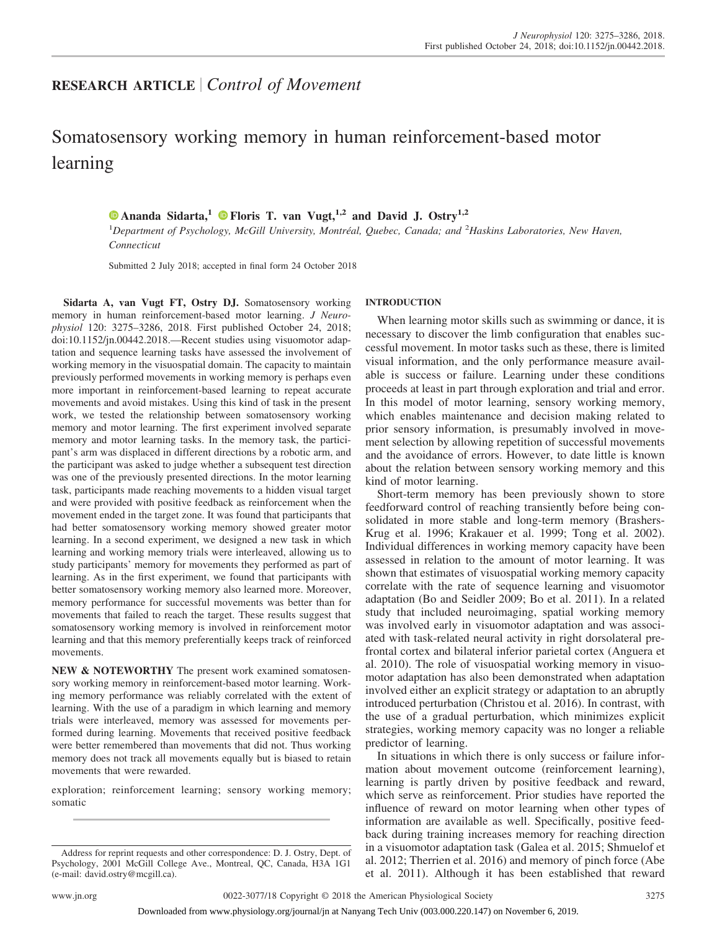# **RESEARCH ARTICLE** *Control of Movement*

# Somatosensory working memory in human reinforcement-based motor learning

# **X [Ananda Sidarta,](https://orcid.org/0000-0002-2325-3137)<sup>1</sup> X [Floris T. van Vugt,](http://orcid.org/0000-0003-1739-0175)1,2 and David J. Ostry1,2**

1 *Department of Psychology, McGill University, Montréal, Quebec, Canada; and* <sup>2</sup> *Haskins Laboratories, New Haven, Connecticut*

Submitted 2 July 2018; accepted in final form 24 October 2018

**Sidarta A, van Vugt FT, Ostry DJ.** Somatosensory working memory in human reinforcement-based motor learning. *J Neurophysiol* 120: 3275–3286, 2018. First published October 24, 2018; doi[:10.1152/jn.00442.2018.](http://doi.org/10.1152/jn.00442.2018)—Recent studies using visuomotor adaptation and sequence learning tasks have assessed the involvement of working memory in the visuospatial domain. The capacity to maintain previously performed movements in working memory is perhaps even more important in reinforcement-based learning to repeat accurate movements and avoid mistakes. Using this kind of task in the present work, we tested the relationship between somatosensory working memory and motor learning. The first experiment involved separate memory and motor learning tasks. In the memory task, the participant's arm was displaced in different directions by a robotic arm, and the participant was asked to judge whether a subsequent test direction was one of the previously presented directions. In the motor learning task, participants made reaching movements to a hidden visual target and were provided with positive feedback as reinforcement when the movement ended in the target zone. It was found that participants that had better somatosensory working memory showed greater motor learning. In a second experiment, we designed a new task in which learning and working memory trials were interleaved, allowing us to study participants' memory for movements they performed as part of learning. As in the first experiment, we found that participants with better somatosensory working memory also learned more. Moreover, memory performance for successful movements was better than for movements that failed to reach the target. These results suggest that somatosensory working memory is involved in reinforcement motor learning and that this memory preferentially keeps track of reinforced movements.

**NEW & NOTEWORTHY** The present work examined somatosensory working memory in reinforcement-based motor learning. Working memory performance was reliably correlated with the extent of learning. With the use of a paradigm in which learning and memory trials were interleaved, memory was assessed for movements performed during learning. Movements that received positive feedback were better remembered than movements that did not. Thus working memory does not track all movements equally but is biased to retain movements that were rewarded.

exploration; reinforcement learning; sensory working memory; somatic

# **INTRODUCTION**

When learning motor skills such as swimming or dance, it is necessary to discover the limb configuration that enables successful movement. In motor tasks such as these, there is limited visual information, and the only performance measure available is success or failure. Learning under these conditions proceeds at least in part through exploration and trial and error. In this model of motor learning, sensory working memory, which enables maintenance and decision making related to prior sensory information, is presumably involved in movement selection by allowing repetition of successful movements and the avoidance of errors. However, to date little is known about the relation between sensory working memory and this kind of motor learning.

Short-term memory has been previously shown to store feedforward control of reaching transiently before being consolidated in more stable and long-term memory (Brashers-Krug et al. 1996; Krakauer et al. 1999; Tong et al. 2002). Individual differences in working memory capacity have been assessed in relation to the amount of motor learning. It was shown that estimates of visuospatial working memory capacity correlate with the rate of sequence learning and visuomotor adaptation (Bo and Seidler 2009; Bo et al. 2011). In a related study that included neuroimaging, spatial working memory was involved early in visuomotor adaptation and was associated with task-related neural activity in right dorsolateral prefrontal cortex and bilateral inferior parietal cortex (Anguera et al. 2010). The role of visuospatial working memory in visuomotor adaptation has also been demonstrated when adaptation involved either an explicit strategy or adaptation to an abruptly introduced perturbation (Christou et al. 2016). In contrast, with the use of a gradual perturbation, which minimizes explicit strategies, working memory capacity was no longer a reliable predictor of learning.

In situations in which there is only success or failure information about movement outcome (reinforcement learning), learning is partly driven by positive feedback and reward, which serve as reinforcement. Prior studies have reported the influence of reward on motor learning when other types of information are available as well. Specifically, positive feedback during training increases memory for reaching direction in a visuomotor adaptation task (Galea et al. 2015; Shmuelof et al. 2012; Therrien et al. 2016) and memory of pinch force (Abe et al. 2011). Although it has been established that reward

Address for reprint requests and other correspondence: D. J. Ostry, Dept. of Psychology, 2001 McGill College Ave., Montreal, QC, Canada, H3A 1G1 (e-mail: [david.ostry@mcgill.ca\)](mailto:david.ostry@mcgill.ca).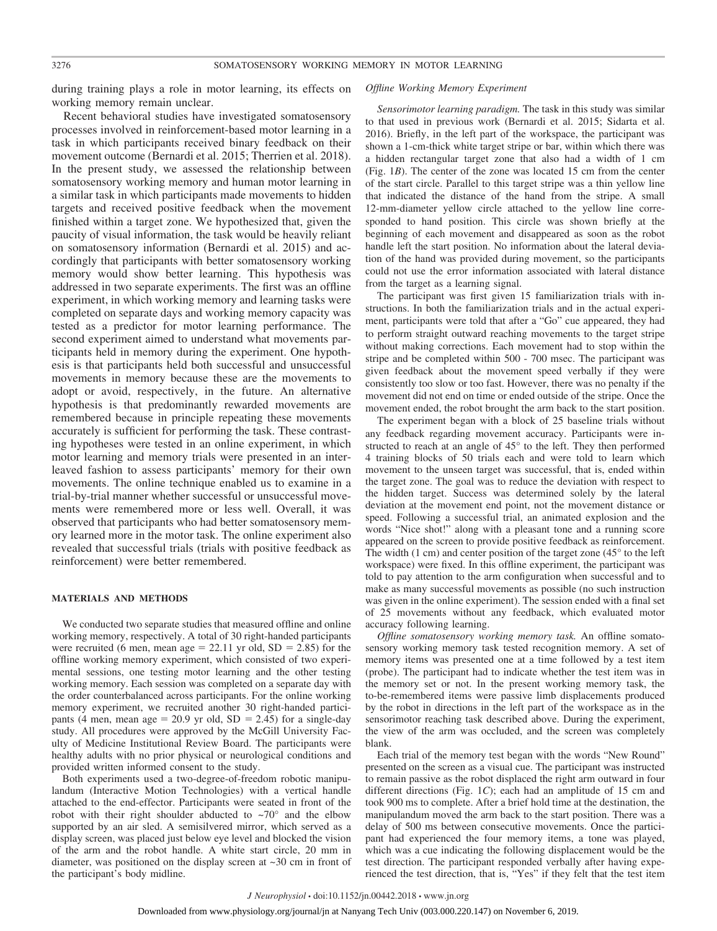during training plays a role in motor learning, its effects on working memory remain unclear.

Recent behavioral studies have investigated somatosensory processes involved in reinforcement-based motor learning in a task in which participants received binary feedback on their movement outcome (Bernardi et al. 2015; Therrien et al. 2018). In the present study, we assessed the relationship between somatosensory working memory and human motor learning in a similar task in which participants made movements to hidden targets and received positive feedback when the movement finished within a target zone. We hypothesized that, given the paucity of visual information, the task would be heavily reliant on somatosensory information (Bernardi et al. 2015) and accordingly that participants with better somatosensory working memory would show better learning. This hypothesis was addressed in two separate experiments. The first was an offline experiment, in which working memory and learning tasks were completed on separate days and working memory capacity was tested as a predictor for motor learning performance. The second experiment aimed to understand what movements participants held in memory during the experiment. One hypothesis is that participants held both successful and unsuccessful movements in memory because these are the movements to adopt or avoid, respectively, in the future. An alternative hypothesis is that predominantly rewarded movements are remembered because in principle repeating these movements accurately is sufficient for performing the task. These contrasting hypotheses were tested in an online experiment, in which motor learning and memory trials were presented in an interleaved fashion to assess participants' memory for their own movements. The online technique enabled us to examine in a trial-by-trial manner whether successful or unsuccessful movements were remembered more or less well. Overall, it was observed that participants who had better somatosensory memory learned more in the motor task. The online experiment also revealed that successful trials (trials with positive feedback as reinforcement) were better remembered.

# **MATERIALS AND METHODS**

We conducted two separate studies that measured offline and online working memory, respectively. A total of 30 right-handed participants were recruited (6 men, mean age  $= 22.11$  yr old,  $SD = 2.85$ ) for the offline working memory experiment, which consisted of two experimental sessions, one testing motor learning and the other testing working memory. Each session was completed on a separate day with the order counterbalanced across participants. For the online working memory experiment, we recruited another 30 right-handed participants (4 men, mean age =  $20.9$  yr old, SD =  $2.45$ ) for a single-day study. All procedures were approved by the McGill University Faculty of Medicine Institutional Review Board. The participants were healthy adults with no prior physical or neurological conditions and provided written informed consent to the study.

Both experiments used a two-degree-of-freedom robotic manipulandum (Interactive Motion Technologies) with a vertical handle attached to the end-effector. Participants were seated in front of the robot with their right shoulder abducted to  $\sim 70^{\circ}$  and the elbow supported by an air sled. A semisilvered mirror, which served as a display screen, was placed just below eye level and blocked the vision of the arm and the robot handle. A white start circle, 20 mm in diameter, was positioned on the display screen at ~30 cm in front of the participant's body midline.

# *Offline Working Memory Experiment*

*Sensorimotor learning paradigm.* The task in this study was similar to that used in previous work (Bernardi et al. 2015; Sidarta et al. 2016). Briefly, in the left part of the workspace, the participant was shown a 1-cm-thick white target stripe or bar, within which there was a hidden rectangular target zone that also had a width of 1 cm (Fig. 1*B*). The center of the zone was located 15 cm from the center of the start circle. Parallel to this target stripe was a thin yellow line that indicated the distance of the hand from the stripe. A small 12-mm-diameter yellow circle attached to the yellow line corresponded to hand position. This circle was shown briefly at the beginning of each movement and disappeared as soon as the robot handle left the start position. No information about the lateral deviation of the hand was provided during movement, so the participants could not use the error information associated with lateral distance from the target as a learning signal.

The participant was first given 15 familiarization trials with instructions. In both the familiarization trials and in the actual experiment, participants were told that after a "Go" cue appeared, they had to perform straight outward reaching movements to the target stripe without making corrections. Each movement had to stop within the stripe and be completed within 500 - 700 msec. The participant was given feedback about the movement speed verbally if they were consistently too slow or too fast. However, there was no penalty if the movement did not end on time or ended outside of the stripe. Once the movement ended, the robot brought the arm back to the start position.

The experiment began with a block of 25 baseline trials without any feedback regarding movement accuracy. Participants were instructed to reach at an angle of 45° to the left. They then performed 4 training blocks of 50 trials each and were told to learn which movement to the unseen target was successful, that is, ended within the target zone. The goal was to reduce the deviation with respect to the hidden target. Success was determined solely by the lateral deviation at the movement end point, not the movement distance or speed. Following a successful trial, an animated explosion and the words "Nice shot!" along with a pleasant tone and a running score appeared on the screen to provide positive feedback as reinforcement. The width  $(1 \text{ cm})$  and center position of the target zone  $(45^{\circ}$  to the left workspace) were fixed. In this offline experiment, the participant was told to pay attention to the arm configuration when successful and to make as many successful movements as possible (no such instruction was given in the online experiment). The session ended with a final set of 25 movements without any feedback, which evaluated motor accuracy following learning.

*Offline somatosensory working memory task.* An offline somatosensory working memory task tested recognition memory. A set of memory items was presented one at a time followed by a test item (probe). The participant had to indicate whether the test item was in the memory set or not. In the present working memory task, the to-be-remembered items were passive limb displacements produced by the robot in directions in the left part of the workspace as in the sensorimotor reaching task described above. During the experiment, the view of the arm was occluded, and the screen was completely blank.

Each trial of the memory test began with the words "New Round" presented on the screen as a visual cue. The participant was instructed to remain passive as the robot displaced the right arm outward in four different directions (Fig. 1*C*); each had an amplitude of 15 cm and took 900 ms to complete. After a brief hold time at the destination, the manipulandum moved the arm back to the start position. There was a delay of 500 ms between consecutive movements. Once the participant had experienced the four memory items, a tone was played, which was a cue indicating the following displacement would be the test direction. The participant responded verbally after having experienced the test direction, that is, "Yes" if they felt that the test item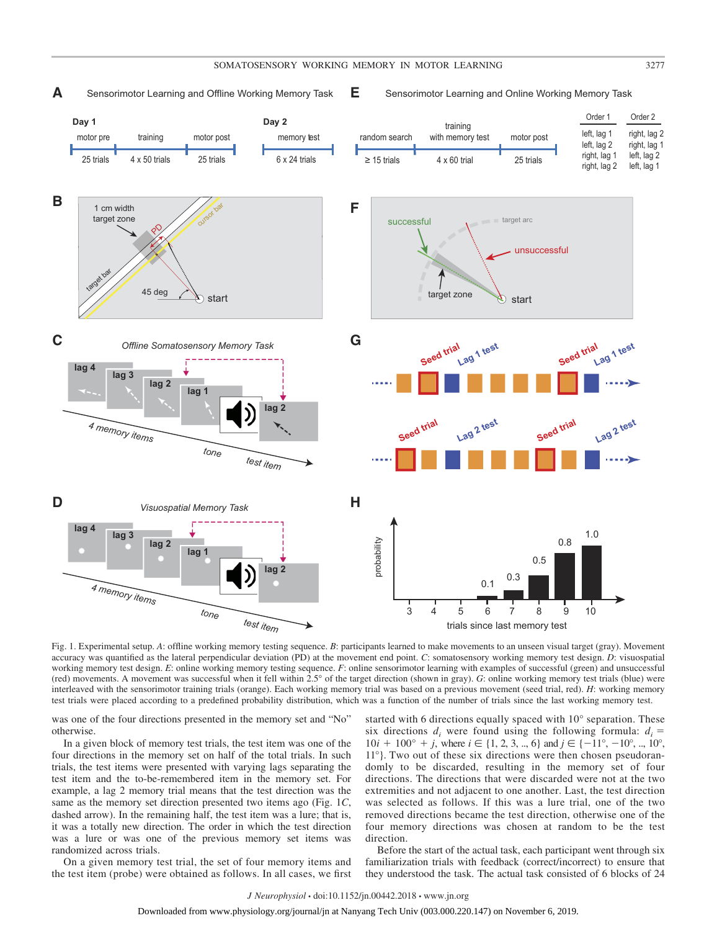**E**

#### Sensorimotor Learning and Offline Working Memory Task  $E$  Sensorimotor Learning and Online Working Memory Task **A**



Fig. 1. Experimental setup. *A*: offline working memory testing sequence. *B*: participants learned to make movements to an unseen visual target (gray). Movement accuracy was quantified as the lateral perpendicular deviation (PD) at the movement end point. *C*: somatosensory working memory test design. *D*: visuospatial working memory test design. *E*: online working memory testing sequence. *F*: online sensorimotor learning with examples of successful (green) and unsuccessful (red) movements. A movement was successful when it fell within 2.5° of the target direction (shown in gray). *G*: online working memory test trials (blue) were interleaved with the sensorimotor training trials (orange). Each working memory trial was based on a previous movement (seed trial, red). *H*: working memory test trials were placed according to a predefined probability distribution, which was a function of the number of trials since the last working memory test.

was one of the four directions presented in the memory set and "No" otherwise.

In a given block of memory test trials, the test item was one of the four directions in the memory set on half of the total trials. In such trials, the test items were presented with varying lags separating the test item and the to-be-remembered item in the memory set. For example, a lag 2 memory trial means that the test direction was the same as the memory set direction presented two items ago (Fig. 1*C*, dashed arrow). In the remaining half, the test item was a lure; that is, it was a totally new direction. The order in which the test direction was a lure or was one of the previous memory set items was randomized across trials.

On a given memory test trial, the set of four memory items and the test item (probe) were obtained as follows. In all cases, we first

started with 6 directions equally spaced with 10° separation. These six directions  $d_i$  were found using the following formula:  $d_i =$  $10i + 100^{\circ} + j$ , where  $i \in \{1, 2, 3, ..., 6\}$  and  $j \in \{-11^{\circ}, -10^{\circ}, ..., 10^{\circ}\}$ 11°}. Two out of these six directions were then chosen pseudorandomly to be discarded, resulting in the memory set of four directions. The directions that were discarded were not at the two extremities and not adjacent to one another. Last, the test direction was selected as follows. If this was a lure trial, one of the two removed directions became the test direction, otherwise one of the four memory directions was chosen at random to be the test direction.

Before the start of the actual task, each participant went through six familiarization trials with feedback (correct/incorrect) to ensure that they understood the task. The actual task consisted of 6 blocks of 24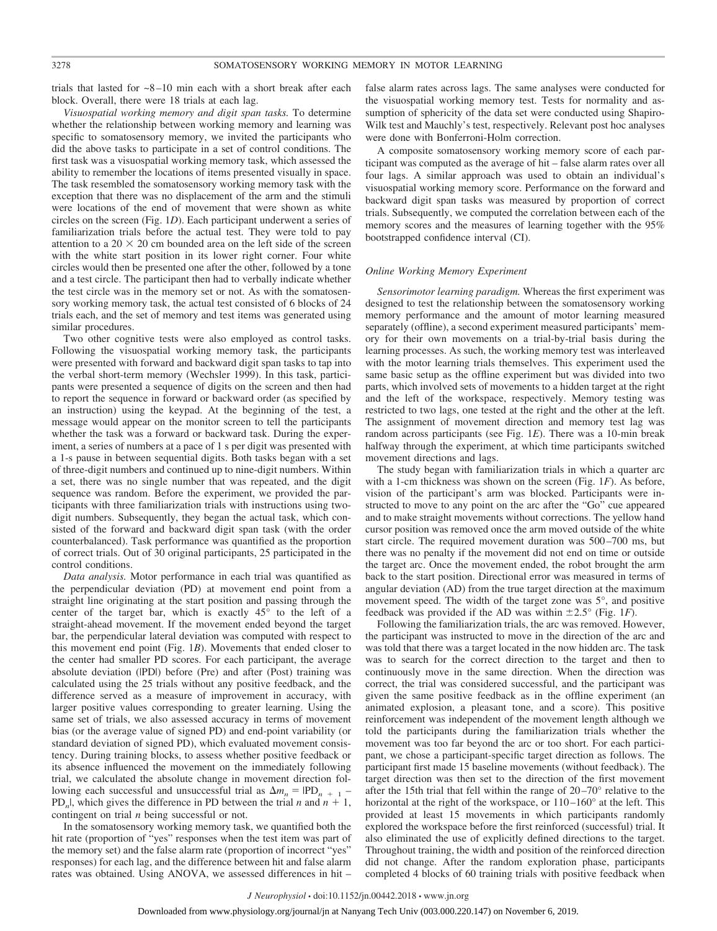trials that lasted for  $\sim$ 8–10 min each with a short break after each block. Overall, there were 18 trials at each lag.

*Visuospatial working memory and digit span tasks.* To determine whether the relationship between working memory and learning was specific to somatosensory memory, we invited the participants who did the above tasks to participate in a set of control conditions. The first task was a visuospatial working memory task, which assessed the ability to remember the locations of items presented visually in space. The task resembled the somatosensory working memory task with the exception that there was no displacement of the arm and the stimuli were locations of the end of movement that were shown as white circles on the screen (Fig. 1*D*). Each participant underwent a series of familiarization trials before the actual test. They were told to pay attention to a  $20 \times 20$  cm bounded area on the left side of the screen with the white start position in its lower right corner. Four white circles would then be presented one after the other, followed by a tone and a test circle. The participant then had to verbally indicate whether the test circle was in the memory set or not. As with the somatosensory working memory task, the actual test consisted of 6 blocks of 24 trials each, and the set of memory and test items was generated using similar procedures.

Two other cognitive tests were also employed as control tasks. Following the visuospatial working memory task, the participants were presented with forward and backward digit span tasks to tap into the verbal short-term memory (Wechsler 1999). In this task, participants were presented a sequence of digits on the screen and then had to report the sequence in forward or backward order (as specified by an instruction) using the keypad. At the beginning of the test, a message would appear on the monitor screen to tell the participants whether the task was a forward or backward task. During the experiment, a series of numbers at a pace of 1 s per digit was presented with a 1-s pause in between sequential digits. Both tasks began with a set of three-digit numbers and continued up to nine-digit numbers. Within a set, there was no single number that was repeated, and the digit sequence was random. Before the experiment, we provided the participants with three familiarization trials with instructions using twodigit numbers. Subsequently, they began the actual task, which consisted of the forward and backward digit span task (with the order counterbalanced). Task performance was quantified as the proportion of correct trials. Out of 30 original participants, 25 participated in the control conditions.

*Data analysis.* Motor performance in each trial was quantified as the perpendicular deviation (PD) at movement end point from a straight line originating at the start position and passing through the center of the target bar, which is exactly 45° to the left of a straight-ahead movement. If the movement ended beyond the target bar, the perpendicular lateral deviation was computed with respect to this movement end point (Fig. 1*B*). Movements that ended closer to the center had smaller PD scores. For each participant, the average absolute deviation (|PD|) before (Pre) and after (Post) training was calculated using the 25 trials without any positive feedback, and the difference served as a measure of improvement in accuracy, with larger positive values corresponding to greater learning. Using the same set of trials, we also assessed accuracy in terms of movement bias (or the average value of signed PD) and end-point variability (or standard deviation of signed PD), which evaluated movement consistency. During training blocks, to assess whether positive feedback or its absence influenced the movement on the immediately following trial, we calculated the absolute change in movement direction following each successful and unsuccessful trial as  $\Delta m_n = \text{IPD}_{n+1}$  – PD<sub>n</sub>, which gives the difference in PD between the trial *n* and  $n + 1$ , contingent on trial *n* being successful or not.

In the somatosensory working memory task, we quantified both the hit rate (proportion of "yes" responses when the test item was part of the memory set) and the false alarm rate (proportion of incorrect "yes" responses) for each lag, and the difference between hit and false alarm rates was obtained. Using ANOVA, we assessed differences in hit –

false alarm rates across lags. The same analyses were conducted for the visuospatial working memory test. Tests for normality and assumption of sphericity of the data set were conducted using Shapiro-Wilk test and Mauchly's test, respectively. Relevant post hoc analyses were done with Bonferroni-Holm correction.

A composite somatosensory working memory score of each participant was computed as the average of hit – false alarm rates over all four lags. A similar approach was used to obtain an individual's visuospatial working memory score. Performance on the forward and backward digit span tasks was measured by proportion of correct trials. Subsequently, we computed the correlation between each of the memory scores and the measures of learning together with the 95% bootstrapped confidence interval (CI).

#### *Online Working Memory Experiment*

*Sensorimotor learning paradigm.* Whereas the first experiment was designed to test the relationship between the somatosensory working memory performance and the amount of motor learning measured separately (offline), a second experiment measured participants' memory for their own movements on a trial-by-trial basis during the learning processes. As such, the working memory test was interleaved with the motor learning trials themselves. This experiment used the same basic setup as the offline experiment but was divided into two parts, which involved sets of movements to a hidden target at the right and the left of the workspace, respectively. Memory testing was restricted to two lags, one tested at the right and the other at the left. The assignment of movement direction and memory test lag was random across participants (see Fig. 1*E*). There was a 10-min break halfway through the experiment, at which time participants switched movement directions and lags.

The study began with familiarization trials in which a quarter arc with a 1-cm thickness was shown on the screen (Fig. 1*F*). As before, vision of the participant's arm was blocked. Participants were instructed to move to any point on the arc after the "Go" cue appeared and to make straight movements without corrections. The yellow hand cursor position was removed once the arm moved outside of the white start circle. The required movement duration was 500 –700 ms, but there was no penalty if the movement did not end on time or outside the target arc. Once the movement ended, the robot brought the arm back to the start position. Directional error was measured in terms of angular deviation (AD) from the true target direction at the maximum movement speed. The width of the target zone was 5°, and positive feedback was provided if the AD was within  $\pm 2.5^{\circ}$  (Fig. 1*F*).

Following the familiarization trials, the arc was removed. However, the participant was instructed to move in the direction of the arc and was told that there was a target located in the now hidden arc. The task was to search for the correct direction to the target and then to continuously move in the same direction. When the direction was correct, the trial was considered successful, and the participant was given the same positive feedback as in the offline experiment (an animated explosion, a pleasant tone, and a score). This positive reinforcement was independent of the movement length although we told the participants during the familiarization trials whether the movement was too far beyond the arc or too short. For each participant, we chose a participant-specific target direction as follows. The participant first made 15 baseline movements (without feedback). The target direction was then set to the direction of the first movement after the 15th trial that fell within the range of  $20-70^\circ$  relative to the horizontal at the right of the workspace, or  $110-160^\circ$  at the left. This provided at least 15 movements in which participants randomly explored the workspace before the first reinforced (successful) trial. It also eliminated the use of explicitly defined directions to the target. Throughout training, the width and position of the reinforced direction did not change. After the random exploration phase, participants completed 4 blocks of 60 training trials with positive feedback when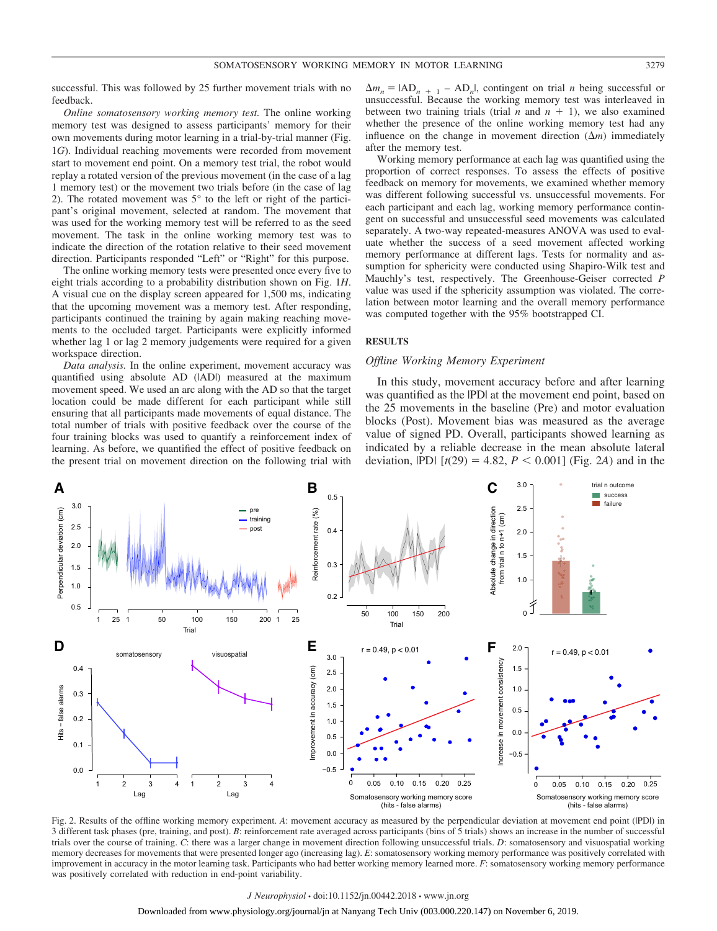successful. This was followed by 25 further movement trials with no feedback.

*Online somatosensory working memory test.* The online working memory test was designed to assess participants' memory for their own movements during motor learning in a trial-by-trial manner (Fig. 1*G*). Individual reaching movements were recorded from movement start to movement end point. On a memory test trial, the robot would replay a rotated version of the previous movement (in the case of a lag 1 memory test) or the movement two trials before (in the case of lag 2). The rotated movement was 5° to the left or right of the participant's original movement, selected at random. The movement that was used for the working memory test will be referred to as the seed movement. The task in the online working memory test was to indicate the direction of the rotation relative to their seed movement direction. Participants responded "Left" or "Right" for this purpose.

The online working memory tests were presented once every five to eight trials according to a probability distribution shown on Fig. 1*H*. A visual cue on the display screen appeared for 1,500 ms, indicating that the upcoming movement was a memory test. After responding, participants continued the training by again making reaching movements to the occluded target. Participants were explicitly informed whether lag 1 or lag 2 memory judgements were required for a given workspace direction.

*Data analysis.* In the online experiment, movement accuracy was quantified using absolute AD (|AD|) measured at the maximum movement speed. We used an arc along with the AD so that the target location could be made different for each participant while still ensuring that all participants made movements of equal distance. The total number of trials with positive feedback over the course of the four training blocks was used to quantify a reinforcement index of learning. As before, we quantified the effect of positive feedback on the present trial on movement direction on the following trial with

 $\Delta m_n = |AD_{n+1} - AD_n|$ , contingent on trial *n* being successful or unsuccessful. Because the working memory test was interleaved in between two training trials (trial  $n$  and  $n + 1$ ), we also examined whether the presence of the online working memory test had any influence on the change in movement direction  $(\Delta m)$  immediately after the memory test.

Working memory performance at each lag was quantified using the proportion of correct responses. To assess the effects of positive feedback on memory for movements, we examined whether memory was different following successful vs. unsuccessful movements. For each participant and each lag, working memory performance contingent on successful and unsuccessful seed movements was calculated separately. A two-way repeated-measures ANOVA was used to evaluate whether the success of a seed movement affected working memory performance at different lags. Tests for normality and assumption for sphericity were conducted using Shapiro-Wilk test and Mauchly's test, respectively. The Greenhouse-Geiser corrected *P* value was used if the sphericity assumption was violated. The correlation between motor learning and the overall memory performance was computed together with the 95% bootstrapped CI.

# **RESULTS**

# *Offline Working Memory Experiment*

In this study, movement accuracy before and after learning was quantified as the |PD| at the movement end point, based on the 25 movements in the baseline (Pre) and motor evaluation blocks (Post). Movement bias was measured as the average value of signed PD. Overall, participants showed learning as indicated by a reliable decrease in the mean absolute lateral deviation,  $|PD|$  [ $t(29) = 4.82, P < 0.001$ ] (Fig. 2*A*) and in the



Fig. 2. Results of the offline working memory experiment. *A*: movement accuracy as measured by the perpendicular deviation at movement end point (|PD|) in 3 different task phases (pre, training, and post). *B*: reinforcement rate averaged across participants (bins of 5 trials) shows an increase in the number of successful trials over the course of training. *C*: there was a larger change in movement direction following unsuccessful trials. *D*: somatosensory and visuospatial working memory decreases for movements that were presented longer ago (increasing lag). *E*: somatosensory working memory performance was positively correlated with improvement in accuracy in the motor learning task. Participants who had better working memory learned more. *F*: somatosensory working memory performance was positively correlated with reduction in end-point variability.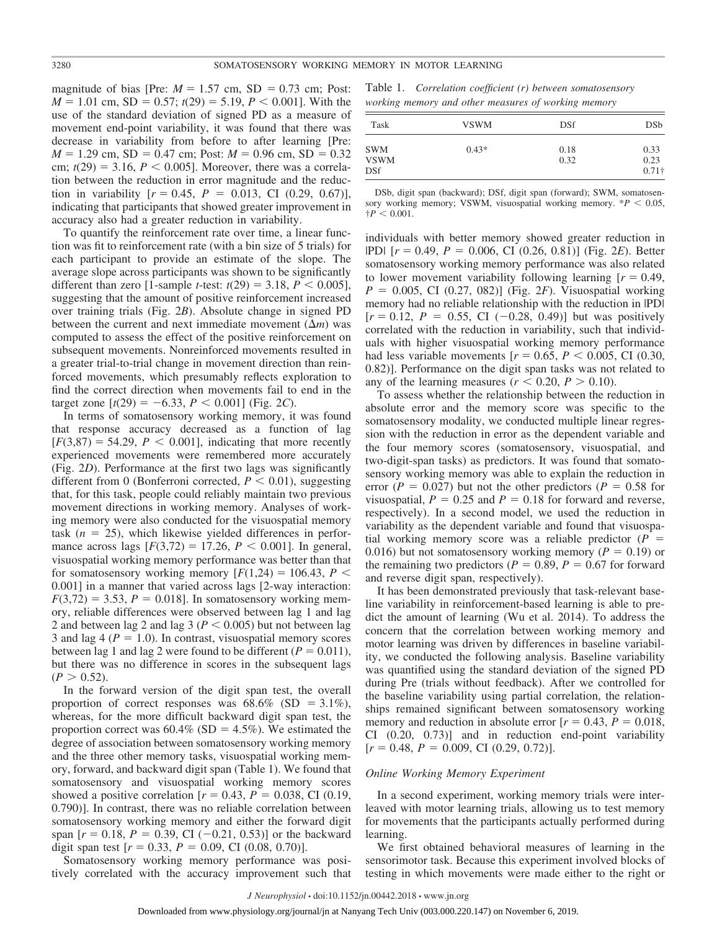magnitude of bias [Pre:  $M = 1.57$  cm, SD = 0.73 cm; Post:  $M = 1.01$  cm, SD = 0.57;  $t(29) = 5.19$ ,  $P < 0.001$ ]. With the use of the standard deviation of signed PD as a measure of movement end-point variability, it was found that there was decrease in variability from before to after learning [Pre:  $M = 1.29$  cm,  $SD = 0.47$  cm; Post:  $M = 0.96$  cm,  $SD = 0.32$ cm;  $t(29) = 3.16$ ,  $P < 0.005$ ]. Moreover, there was a correlation between the reduction in error magnitude and the reduction in variability  $[r = 0.45, P = 0.013, CI (0.29, 0.67)],$ indicating that participants that showed greater improvement in accuracy also had a greater reduction in variability.

To quantify the reinforcement rate over time, a linear function was fit to reinforcement rate (with a bin size of 5 trials) for each participant to provide an estimate of the slope. The average slope across participants was shown to be significantly different than zero [1-sample *t*-test:  $t(29) = 3.18, P < 0.005$ ], suggesting that the amount of positive reinforcement increased over training trials (Fig. 2*B*). Absolute change in signed PD between the current and next immediate movement  $(\Delta m)$  was computed to assess the effect of the positive reinforcement on subsequent movements. Nonreinforced movements resulted in a greater trial-to-trial change in movement direction than reinforced movements, which presumably reflects exploration to find the correct direction when movements fail to end in the target zone  $[t(29) = -6.33, P < 0.001]$  (Fig. 2*C*).

In terms of somatosensory working memory, it was found that response accuracy decreased as a function of lag  $[F(3,87) = 54.29, P < 0.001]$ , indicating that more recently experienced movements were remembered more accurately (Fig. 2*D*). Performance at the first two lags was significantly different from 0 (Bonferroni corrected,  $P < 0.01$ ), suggesting that, for this task, people could reliably maintain two previous movement directions in working memory. Analyses of working memory were also conducted for the visuospatial memory task  $(n = 25)$ , which likewise yielded differences in performance across lags  $[F(3,72) = 17.26, P < 0.001]$ . In general, visuospatial working memory performance was better than that for somatosensory working memory  $[F(1,24) = 106.43, P <$ 0.001] in a manner that varied across lags [2-way interaction:  $F(3,72) = 3.53$ ,  $P = 0.018$ . In somatosensory working memory, reliable differences were observed between lag 1 and lag 2 and between lag 2 and lag 3 ( $P < 0.005$ ) but not between lag 3 and lag  $4 (P = 1.0)$ . In contrast, visuospatial memory scores between lag 1 and lag 2 were found to be different  $(P = 0.011)$ , but there was no difference in scores in the subsequent lags  $(P > 0.52)$ .

In the forward version of the digit span test, the overall proportion of correct responses was  $68.6\%$  (SD = 3.1%), whereas, for the more difficult backward digit span test, the proportion correct was  $60.4\%$  (SD = 4.5%). We estimated the degree of association between somatosensory working memory and the three other memory tasks, visuospatial working memory, forward, and backward digit span (Table 1). We found that somatosensory and visuospatial working memory scores showed a positive correlation  $[r = 0.43, P = 0.038, CI(0.19,$ 0.790)]. In contrast, there was no reliable correlation between somatosensory working memory and either the forward digit span  $[r = 0.18, P = 0.39, CI (-0.21, 0.53)]$  or the backward digit span test  $[r = 0.33, P = 0.09, C1 (0.08, 0.70)].$ 

Somatosensory working memory performance was positively correlated with the accuracy improvement such that

Table 1. *Correlation coefficient (r) between somatosensory working memory and other measures of working memory*

| Task                                    | <b>VSWM</b> | DSf          | DSb                           |
|-----------------------------------------|-------------|--------------|-------------------------------|
| <b>SWM</b><br><b>VSWM</b><br><b>DSf</b> | $0.43*$     | 0.18<br>0.32 | 0.33<br>0.23<br>$0.71\dagger$ |

DSb, digit span (backward); DSf, digit span (forward); SWM, somatosensory working memory; VSWM, visuospatial working memory.  $*P < 0.05$ ,  $\ddagger P < 0.001$ .

individuals with better memory showed greater reduction in |PD*|* [*r* - 0.49, *P* - 0.006, CI (0.26, 0.81)] (Fig. 2*E*). Better somatosensory working memory performance was also related to lower movement variability following learning  $[r = 0.49]$ , *P* - 0.005, CI (0.27, 082)] (Fig. 2*F*). Visuospatial working memory had no reliable relationship with the reduction in |PD*|*  $[r = 0.12, P = 0.55, CI (-0.28, 0.49)]$  but was positively correlated with the reduction in variability, such that individuals with higher visuospatial working memory performance had less variable movements  $[r = 0.65, P < 0.005, C1 \ (0.30,$ 0.82)]. Performance on the digit span tasks was not related to any of the learning measures ( $r < 0.20$ ,  $P > 0.10$ ).

To assess whether the relationship between the reduction in absolute error and the memory score was specific to the somatosensory modality, we conducted multiple linear regression with the reduction in error as the dependent variable and the four memory scores (somatosensory, visuospatial, and two-digit-span tasks) as predictors. It was found that somatosensory working memory was able to explain the reduction in error  $(P = 0.027)$  but not the other predictors  $(P = 0.58$  for visuospatial,  $P = 0.25$  and  $P = 0.18$  for forward and reverse, respectively). In a second model, we used the reduction in variability as the dependent variable and found that visuospatial working memory score was a reliable predictor  $(P =$ 0.016) but not somatosensory working memory ( $P = 0.19$ ) or the remaining two predictors ( $P = 0.89$ ,  $P = 0.67$  for forward and reverse digit span, respectively).

It has been demonstrated previously that task-relevant baseline variability in reinforcement-based learning is able to predict the amount of learning (Wu et al. 2014). To address the concern that the correlation between working memory and motor learning was driven by differences in baseline variability, we conducted the following analysis. Baseline variability was quantified using the standard deviation of the signed PD during Pre (trials without feedback). After we controlled for the baseline variability using partial correlation, the relationships remained significant between somatosensory working memory and reduction in absolute error  $[r = 0.43, P = 0.018,$ CI (0.20, 0.73)] and in reduction end-point variability  $[r = 0.48, P = 0.009, CI (0.29, 0.72)].$ 

#### *Online Working Memory Experiment*

In a second experiment, working memory trials were interleaved with motor learning trials, allowing us to test memory for movements that the participants actually performed during learning.

We first obtained behavioral measures of learning in the sensorimotor task. Because this experiment involved blocks of testing in which movements were made either to the right or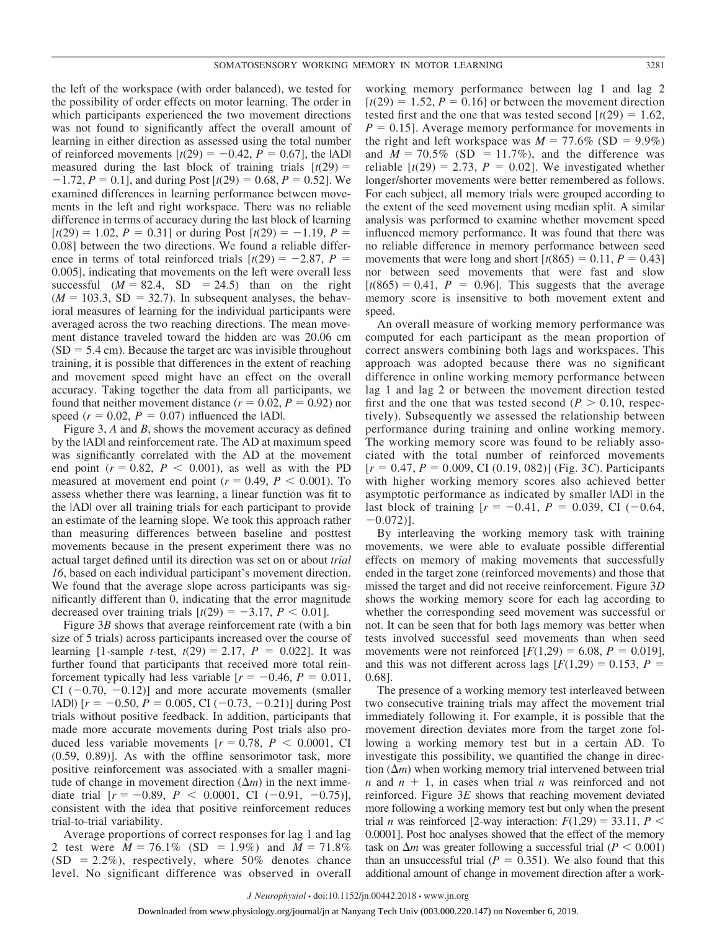the left of the workspace (with order balanced), we tested for the possibility of order effects on motor learning. The order in which participants experienced the two movement directions was not found to significantly affect the overall amount of learning in either direction as assessed using the total number of reinforced movements  $[t(29) = -0.42, P = 0.67]$ , the  $|AD|$ measured during the last block of training trials  $[t(29) =$  $-1.72$ ,  $P = 0.1$ ], and during Post  $[t(29) = 0.68, P = 0.52]$ . We examined differences in learning performance between movements in the left and right workspace. There was no reliable difference in terms of accuracy during the last block of learning  $[t(29) = 1.02, P = 0.31]$  or during Post  $[t(29) = -1.19, P =$ 0.08] between the two directions. We found a reliable difference in terms of total reinforced trials  $[t(29) = -2.87, P =$ 0.005], indicating that movements on the left were overall less successful  $(M = 82.4, SD = 24.5)$  than on the right  $(M = 103.3, SD = 32.7)$ . In subsequent analyses, the behavioral measures of learning for the individual participants were averaged across the two reaching directions. The mean movement distance traveled toward the hidden arc was 20.06 cm  $(SD = 5.4 \text{ cm})$ . Because the target arc was invisible throughout training, it is possible that differences in the extent of reaching and movement speed might have an effect on the overall accuracy. Taking together the data from all participants, we found that neither movement distance  $(r = 0.02, P = 0.92)$  nor speed  $(r = 0.02, P = 0.07)$  influenced the  $|AD|$ .

Figure 3, *A* and *B*, shows the movement accuracy as defined by the |AD| and reinforcement rate. The AD at maximum speed was significantly correlated with the AD at the movement end point  $(r = 0.82, P < 0.001)$ , as well as with the PD measured at movement end point  $(r = 0.49, P < 0.001)$ . To assess whether there was learning, a linear function was fit to the |AD| over all training trials for each participant to provide an estimate of the learning slope. We took this approach rather than measuring differences between baseline and posttest movements because in the present experiment there was no actual target defined until its direction was set on or about *trial 16*, based on each individual participant's movement direction. We found that the average slope across participants was significantly different than 0, indicating that the error magnitude decreased over training trials  $[t(29) = -3.17, P \le 0.01]$ .

Figure 3*B* shows that average reinforcement rate (with a bin size of 5 trials) across participants increased over the course of learning [1-sample *t*-test,  $t(29) = 2.17$ ,  $P = 0.022$ ]. It was further found that participants that received more total reinforcement typically had less variable  $[r = -0.46, P = 0.011,$ CI  $(-0.70, -0.12)$ ] and more accurate movements (smaller  $|AD|$  [ $r = -0.50$ ,  $P = 0.005$ , CI (-0.73, -0.21)] during Post trials without positive feedback. In addition, participants that made more accurate movements during Post trials also produced less variable movements  $[r = 0.78, P < 0.0001, C]$ (0.59, 0.89)]. As with the offline sensorimotor task, more positive reinforcement was associated with a smaller magnitude of change in movement direction  $(\Delta m)$  in the next immediate trial  $[r = -0.89, P < 0.0001, C1 (-0.91, -0.75)],$ consistent with the idea that positive reinforcement reduces trial-to-trial variability.

Average proportions of correct responses for lag 1 and lag 2 test were  $M = 76.1\%$  (SD = 1.9%) and  $M = 71.8\%$  $(SD = 2.2\%)$ , respectively, where 50% denotes chance level. No significant difference was observed in overall working memory performance between lag 1 and lag 2  $[t(29) = 1.52, P = 0.16]$  or between the movement direction tested first and the one that was tested second  $[t(29) = 1.62]$ ,  $P = 0.15$ . Average memory performance for movements in the right and left workspace was  $M = 77.6\%$  (SD = 9.9%) and  $M = 70.5\%$  (SD = 11.7%), and the difference was reliable  $[t(29) = 2.73, P = 0.02]$ . We investigated whether longer/shorter movements were better remembered as follows. For each subject, all memory trials were grouped according to the extent of the seed movement using median split. A similar analysis was performed to examine whether movement speed influenced memory performance. It was found that there was no reliable difference in memory performance between seed movements that were long and short  $[t(865) = 0.11, P = 0.43]$ nor between seed movements that were fast and slow  $[t(865) = 0.41, P = 0.96]$ . This suggests that the average memory score is insensitive to both movement extent and speed.

An overall measure of working memory performance was computed for each participant as the mean proportion of correct answers combining both lags and workspaces. This approach was adopted because there was no significant difference in online working memory performance between lag 1 and lag 2 or between the movement direction tested first and the one that was tested second  $(P > 0.10$ , respectively). Subsequently we assessed the relationship between performance during training and online working memory. The working memory score was found to be reliably associated with the total number of reinforced movements  $[r = 0.47, P = 0.009, CI (0.19, 082)]$  (Fig. 3*C*). Participants with higher working memory scores also achieved better asymptotic performance as indicated by smaller |AD| in the last block of training  $[r = -0.41, P = 0.039, CI (-0.64,$  $-0.072$ ].

By interleaving the working memory task with training movements, we were able to evaluate possible differential effects on memory of making movements that successfully ended in the target zone (reinforced movements) and those that missed the target and did not receive reinforcement. Figure 3*D* shows the working memory score for each lag according to whether the corresponding seed movement was successful or not. It can be seen that for both lags memory was better when tests involved successful seed movements than when seed movements were not reinforced  $[F(1,29) = 6.08, P = 0.019]$ , and this was not different across lags  $[F(1,29) = 0.153, P =$ 0.68].

The presence of a working memory test interleaved between two consecutive training trials may affect the movement trial immediately following it. For example, it is possible that the movement direction deviates more from the target zone following a working memory test but in a certain AD. To investigate this possibility, we quantified the change in direction  $(\Delta m)$  when working memory trial intervened between trial  $n$  and  $n + 1$ , in cases when trial  $n$  was reinforced and not reinforced. Figure 3*E* shows that reaching movement deviated more following a working memory test but only when the present trial *n* was reinforced [2-way interaction:  $F(1,29) = 33.11$ ,  $P <$ 0.0001]. Post hoc analyses showed that the effect of the memory task on  $\Delta m$  was greater following a successful trial ( $P < 0.001$ ) than an unsuccessful trial  $(P = 0.351)$ . We also found that this additional amount of change in movement direction after a work-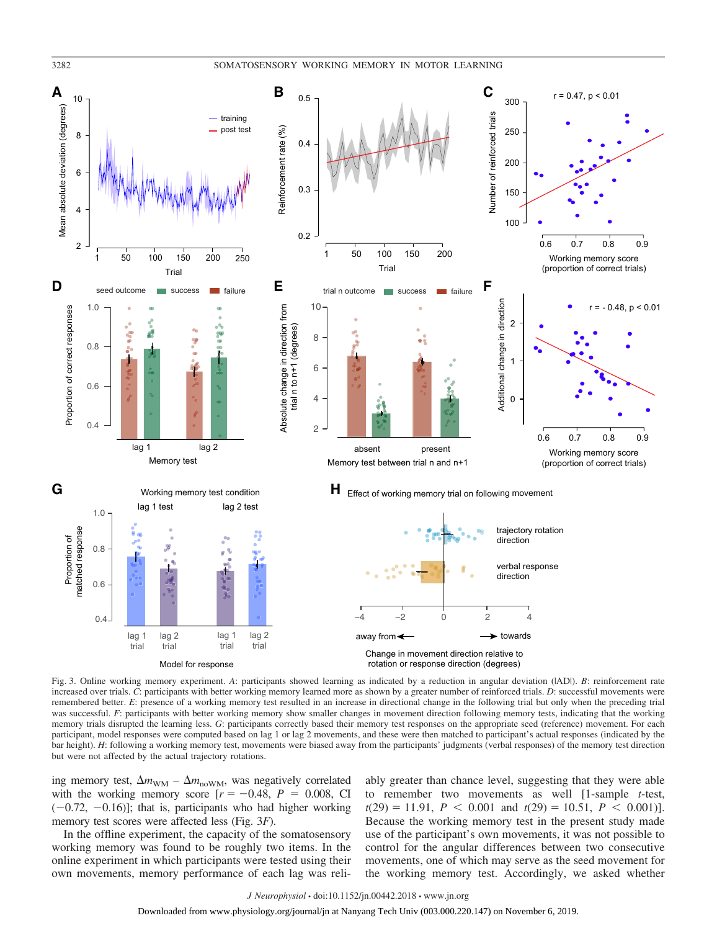

Fig. 3. Online working memory experiment. *A*: participants showed learning as indicated by a reduction in angular deviation (|AD|). *B*: reinforcement rate increased over trials. *C*: participants with better working memory learned more as shown by a greater number of reinforced trials. *D*: successful movements were remembered better. *E*: presence of a working memory test resulted in an increase in directional change in the following trial but only when the preceding trial was successful. *F*: participants with better working memory show smaller changes in movement direction following memory tests, indicating that the working memory trials disrupted the learning less. *G*: participants correctly based their memory test responses on the appropriate seed (reference) movement. For each participant, model responses were computed based on lag 1 or lag 2 movements, and these were then matched to participant's actual responses (indicated by the bar height). *H*: following a working memory test, movements were biased away from the participants' judgments (verbal responses) of the memory test direction but were not affected by the actual trajectory rotations.

ing memory test,  $\Delta m_{\text{WM}} - \Delta m_{\text{nowM}}$ , was negatively correlated with the working memory score  $[r = -0.48, P = 0.008, CI$  $(-0.72, -0.16)$ ]; that is, participants who had higher working memory test scores were affected less (Fig. 3*F*).

In the offline experiment, the capacity of the somatosensory working memory was found to be roughly two items. In the online experiment in which participants were tested using their own movements, memory performance of each lag was reliably greater than chance level, suggesting that they were able to remember two movements as well [1-sample *t*-test,  $t(29) = 11.91, P < 0.001 \text{ and } t(29) = 10.51, P < 0.001$ ]. Because the working memory test in the present study made use of the participant's own movements, it was not possible to control for the angular differences between two consecutive movements, one of which may serve as the seed movement for the working memory test. Accordingly, we asked whether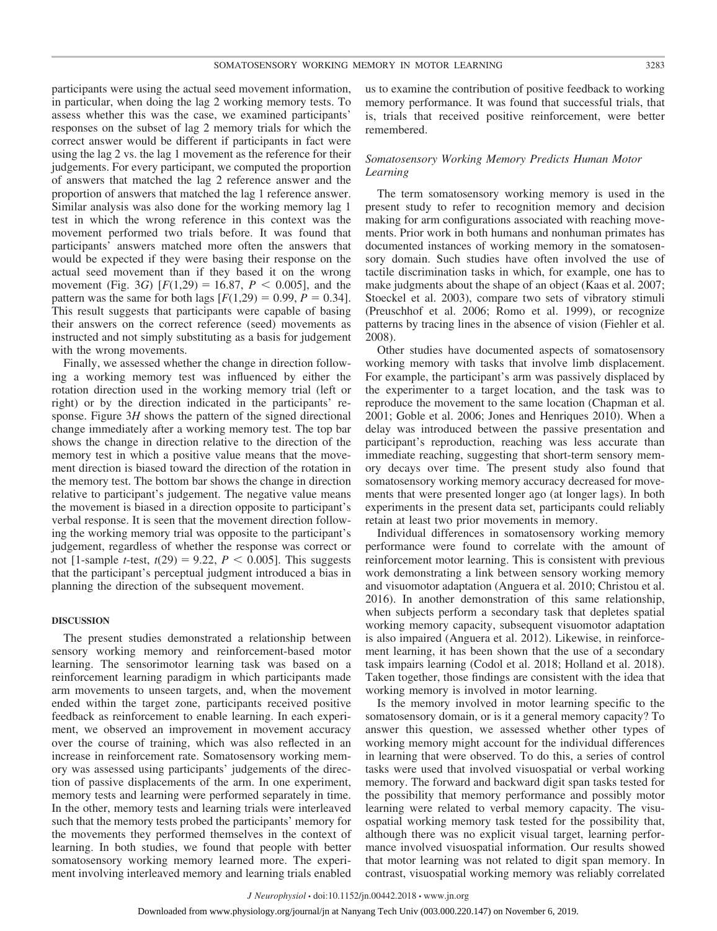participants were using the actual seed movement information, in particular, when doing the lag 2 working memory tests. To assess whether this was the case, we examined participants' responses on the subset of lag 2 memory trials for which the correct answer would be different if participants in fact were using the lag 2 vs. the lag 1 movement as the reference for their judgements. For every participant, we computed the proportion of answers that matched the lag 2 reference answer and the proportion of answers that matched the lag 1 reference answer. Similar analysis was also done for the working memory lag 1 test in which the wrong reference in this context was the movement performed two trials before. It was found that participants' answers matched more often the answers that would be expected if they were basing their response on the actual seed movement than if they based it on the wrong movement (Fig. 3*G*)  $[F(1,29) = 16.87, P \le 0.005]$ , and the pattern was the same for both lags  $[F(1,29) = 0.99, P = 0.34]$ . This result suggests that participants were capable of basing their answers on the correct reference (seed) movements as instructed and not simply substituting as a basis for judgement with the wrong movements.

Finally, we assessed whether the change in direction following a working memory test was influenced by either the rotation direction used in the working memory trial (left or right) or by the direction indicated in the participants' response. Figure 3*H* shows the pattern of the signed directional change immediately after a working memory test. The top bar shows the change in direction relative to the direction of the memory test in which a positive value means that the movement direction is biased toward the direction of the rotation in the memory test. The bottom bar shows the change in direction relative to participant's judgement. The negative value means the movement is biased in a direction opposite to participant's verbal response. It is seen that the movement direction following the working memory trial was opposite to the participant's judgement, regardless of whether the response was correct or not [1-sample *t*-test,  $t(29) = 9.22$ ,  $P < 0.005$ ]. This suggests that the participant's perceptual judgment introduced a bias in planning the direction of the subsequent movement.

# **DISCUSSION**

The present studies demonstrated a relationship between sensory working memory and reinforcement-based motor learning. The sensorimotor learning task was based on a reinforcement learning paradigm in which participants made arm movements to unseen targets, and, when the movement ended within the target zone, participants received positive feedback as reinforcement to enable learning. In each experiment, we observed an improvement in movement accuracy over the course of training, which was also reflected in an increase in reinforcement rate. Somatosensory working memory was assessed using participants' judgements of the direction of passive displacements of the arm. In one experiment, memory tests and learning were performed separately in time. In the other, memory tests and learning trials were interleaved such that the memory tests probed the participants' memory for the movements they performed themselves in the context of learning. In both studies, we found that people with better somatosensory working memory learned more. The experiment involving interleaved memory and learning trials enabled

us to examine the contribution of positive feedback to working memory performance. It was found that successful trials, that is, trials that received positive reinforcement, were better remembered.

# *Somatosensory Working Memory Predicts Human Motor Learning*

The term somatosensory working memory is used in the present study to refer to recognition memory and decision making for arm configurations associated with reaching movements. Prior work in both humans and nonhuman primates has documented instances of working memory in the somatosensory domain. Such studies have often involved the use of tactile discrimination tasks in which, for example, one has to make judgments about the shape of an object (Kaas et al. 2007; Stoeckel et al. 2003), compare two sets of vibratory stimuli (Preuschhof et al. 2006; Romo et al. 1999), or recognize patterns by tracing lines in the absence of vision (Fiehler et al. 2008).

Other studies have documented aspects of somatosensory working memory with tasks that involve limb displacement. For example, the participant's arm was passively displaced by the experimenter to a target location, and the task was to reproduce the movement to the same location (Chapman et al. 2001; Goble et al. 2006; Jones and Henriques 2010). When a delay was introduced between the passive presentation and participant's reproduction, reaching was less accurate than immediate reaching, suggesting that short-term sensory memory decays over time. The present study also found that somatosensory working memory accuracy decreased for movements that were presented longer ago (at longer lags). In both experiments in the present data set, participants could reliably retain at least two prior movements in memory.

Individual differences in somatosensory working memory performance were found to correlate with the amount of reinforcement motor learning. This is consistent with previous work demonstrating a link between sensory working memory and visuomotor adaptation (Anguera et al. 2010; Christou et al. 2016). In another demonstration of this same relationship, when subjects perform a secondary task that depletes spatial working memory capacity, subsequent visuomotor adaptation is also impaired (Anguera et al. 2012). Likewise, in reinforcement learning, it has been shown that the use of a secondary task impairs learning (Codol et al. 2018; Holland et al. 2018). Taken together, those findings are consistent with the idea that working memory is involved in motor learning.

Is the memory involved in motor learning specific to the somatosensory domain, or is it a general memory capacity? To answer this question, we assessed whether other types of working memory might account for the individual differences in learning that were observed. To do this, a series of control tasks were used that involved visuospatial or verbal working memory. The forward and backward digit span tasks tested for the possibility that memory performance and possibly motor learning were related to verbal memory capacity. The visuospatial working memory task tested for the possibility that, although there was no explicit visual target, learning performance involved visuospatial information. Our results showed that motor learning was not related to digit span memory. In contrast, visuospatial working memory was reliably correlated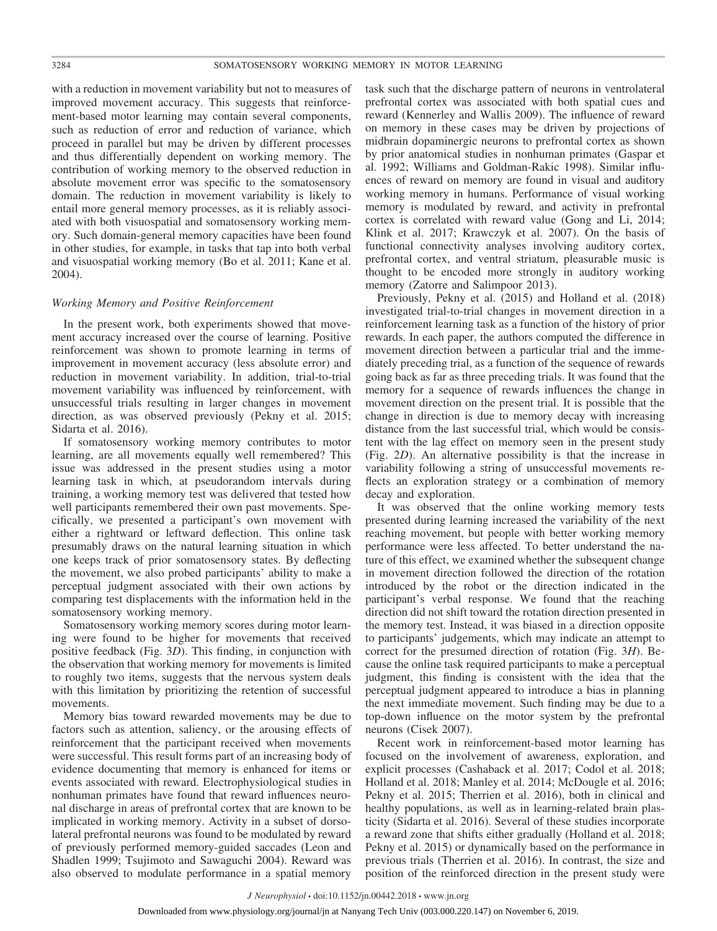with a reduction in movement variability but not to measures of improved movement accuracy. This suggests that reinforcement-based motor learning may contain several components, such as reduction of error and reduction of variance, which proceed in parallel but may be driven by different processes and thus differentially dependent on working memory. The contribution of working memory to the observed reduction in absolute movement error was specific to the somatosensory domain. The reduction in movement variability is likely to entail more general memory processes, as it is reliably associated with both visuospatial and somatosensory working memory. Such domain-general memory capacities have been found in other studies, for example, in tasks that tap into both verbal and visuospatial working memory (Bo et al. 2011; Kane et al. 2004).

# *Working Memory and Positive Reinforcement*

In the present work, both experiments showed that movement accuracy increased over the course of learning. Positive reinforcement was shown to promote learning in terms of improvement in movement accuracy (less absolute error) and reduction in movement variability. In addition, trial-to-trial movement variability was influenced by reinforcement, with unsuccessful trials resulting in larger changes in movement direction, as was observed previously (Pekny et al. 2015; Sidarta et al. 2016).

If somatosensory working memory contributes to motor learning, are all movements equally well remembered? This issue was addressed in the present studies using a motor learning task in which, at pseudorandom intervals during training, a working memory test was delivered that tested how well participants remembered their own past movements. Specifically, we presented a participant's own movement with either a rightward or leftward deflection. This online task presumably draws on the natural learning situation in which one keeps track of prior somatosensory states. By deflecting the movement, we also probed participants' ability to make a perceptual judgment associated with their own actions by comparing test displacements with the information held in the somatosensory working memory.

Somatosensory working memory scores during motor learning were found to be higher for movements that received positive feedback (Fig. 3*D*). This finding, in conjunction with the observation that working memory for movements is limited to roughly two items, suggests that the nervous system deals with this limitation by prioritizing the retention of successful movements.

Memory bias toward rewarded movements may be due to factors such as attention, saliency, or the arousing effects of reinforcement that the participant received when movements were successful. This result forms part of an increasing body of evidence documenting that memory is enhanced for items or events associated with reward. Electrophysiological studies in nonhuman primates have found that reward influences neuronal discharge in areas of prefrontal cortex that are known to be implicated in working memory. Activity in a subset of dorsolateral prefrontal neurons was found to be modulated by reward of previously performed memory-guided saccades (Leon and Shadlen 1999; Tsujimoto and Sawaguchi 2004). Reward was also observed to modulate performance in a spatial memory

task such that the discharge pattern of neurons in ventrolateral prefrontal cortex was associated with both spatial cues and reward (Kennerley and Wallis 2009). The influence of reward on memory in these cases may be driven by projections of midbrain dopaminergic neurons to prefrontal cortex as shown by prior anatomical studies in nonhuman primates (Gaspar et al. 1992; Williams and Goldman-Rakic 1998). Similar influences of reward on memory are found in visual and auditory working memory in humans. Performance of visual working memory is modulated by reward, and activity in prefrontal cortex is correlated with reward value (Gong and Li, 2014; Klink et al. 2017; Krawczyk et al. 2007). On the basis of functional connectivity analyses involving auditory cortex, prefrontal cortex, and ventral striatum, pleasurable music is thought to be encoded more strongly in auditory working memory (Zatorre and Salimpoor 2013).

Previously, Pekny et al. (2015) and Holland et al. (2018) investigated trial-to-trial changes in movement direction in a reinforcement learning task as a function of the history of prior rewards. In each paper, the authors computed the difference in movement direction between a particular trial and the immediately preceding trial, as a function of the sequence of rewards going back as far as three preceding trials. It was found that the memory for a sequence of rewards influences the change in movement direction on the present trial. It is possible that the change in direction is due to memory decay with increasing distance from the last successful trial, which would be consistent with the lag effect on memory seen in the present study (Fig. 2*D*). An alternative possibility is that the increase in variability following a string of unsuccessful movements reflects an exploration strategy or a combination of memory decay and exploration.

It was observed that the online working memory tests presented during learning increased the variability of the next reaching movement, but people with better working memory performance were less affected. To better understand the nature of this effect, we examined whether the subsequent change in movement direction followed the direction of the rotation introduced by the robot or the direction indicated in the participant's verbal response. We found that the reaching direction did not shift toward the rotation direction presented in the memory test. Instead, it was biased in a direction opposite to participants' judgements, which may indicate an attempt to correct for the presumed direction of rotation (Fig. 3*H*). Because the online task required participants to make a perceptual judgment, this finding is consistent with the idea that the perceptual judgment appeared to introduce a bias in planning the next immediate movement. Such finding may be due to a top-down influence on the motor system by the prefrontal neurons (Cisek 2007).

Recent work in reinforcement-based motor learning has focused on the involvement of awareness, exploration, and explicit processes (Cashaback et al. 2017; Codol et al. 2018; Holland et al. 2018; Manley et al. 2014; McDougle et al. 2016; Pekny et al. 2015; Therrien et al. 2016), both in clinical and healthy populations, as well as in learning-related brain plasticity (Sidarta et al. 2016). Several of these studies incorporate a reward zone that shifts either gradually (Holland et al. 2018; Pekny et al. 2015) or dynamically based on the performance in previous trials (Therrien et al. 2016). In contrast, the size and position of the reinforced direction in the present study were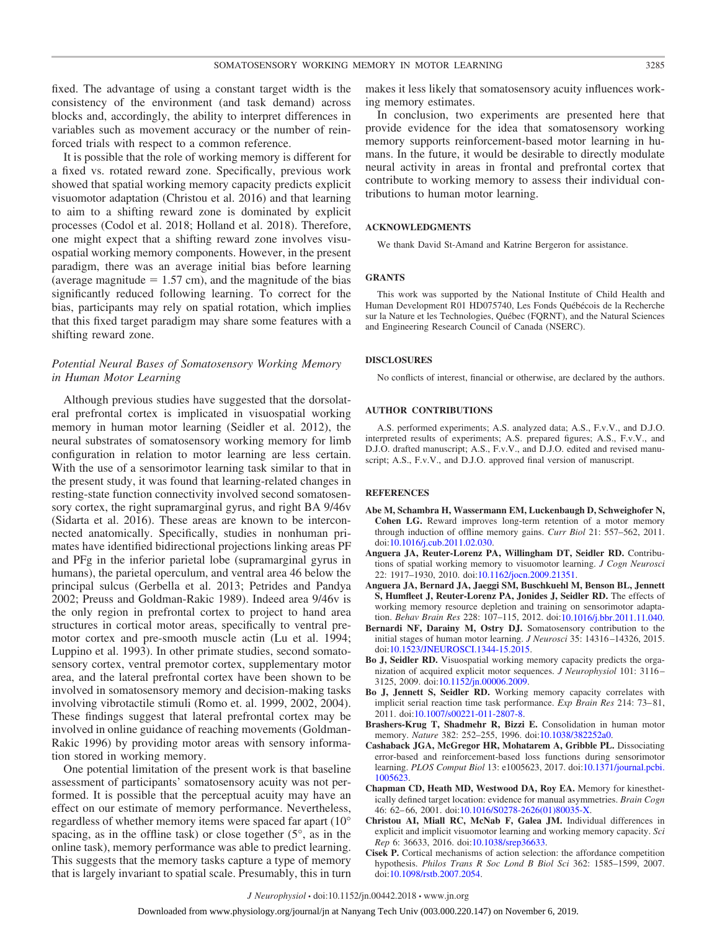fixed. The advantage of using a constant target width is the consistency of the environment (and task demand) across blocks and, accordingly, the ability to interpret differences in variables such as movement accuracy or the number of reinforced trials with respect to a common reference.

It is possible that the role of working memory is different for a fixed vs. rotated reward zone. Specifically, previous work showed that spatial working memory capacity predicts explicit visuomotor adaptation (Christou et al. 2016) and that learning to aim to a shifting reward zone is dominated by explicit processes (Codol et al. 2018; Holland et al. 2018). Therefore, one might expect that a shifting reward zone involves visuospatial working memory components. However, in the present paradigm, there was an average initial bias before learning (average magnitude  $= 1.57$  cm), and the magnitude of the bias significantly reduced following learning. To correct for the bias, participants may rely on spatial rotation, which implies that this fixed target paradigm may share some features with a shifting reward zone.

# *Potential Neural Bases of Somatosensory Working Memory in Human Motor Learning*

Although previous studies have suggested that the dorsolateral prefrontal cortex is implicated in visuospatial working memory in human motor learning (Seidler et al. 2012), the neural substrates of somatosensory working memory for limb configuration in relation to motor learning are less certain. With the use of a sensorimotor learning task similar to that in the present study, it was found that learning-related changes in resting-state function connectivity involved second somatosensory cortex, the right supramarginal gyrus, and right BA  $9/46v$ (Sidarta et al. 2016). These areas are known to be interconnected anatomically. Specifically, studies in nonhuman primates have identified bidirectional projections linking areas PF and PFg in the inferior parietal lobe (supramarginal gyrus in humans), the parietal operculum, and ventral area 46 below the principal sulcus (Gerbella et al. 2013; Petrides and Pandya 2002; Preuss and Goldman-Rakic 1989). Indeed area 9/46v is the only region in prefrontal cortex to project to hand area structures in cortical motor areas, specifically to ventral premotor cortex and pre-smooth muscle actin (Lu et al. 1994; Luppino et al. 1993). In other primate studies, second somatosensory cortex, ventral premotor cortex, supplementary motor area, and the lateral prefrontal cortex have been shown to be involved in somatosensory memory and decision-making tasks involving vibrotactile stimuli (Romo et. al. 1999, 2002, 2004). These findings suggest that lateral prefrontal cortex may be involved in online guidance of reaching movements (Goldman-Rakic 1996) by providing motor areas with sensory information stored in working memory.

One potential limitation of the present work is that baseline assessment of participants' somatosensory acuity was not performed. It is possible that the perceptual acuity may have an effect on our estimate of memory performance. Nevertheless, regardless of whether memory items were spaced far apart (10° spacing, as in the offline task) or close together  $(5^{\circ}, \text{ as in the})$ online task), memory performance was able to predict learning. This suggests that the memory tasks capture a type of memory that is largely invariant to spatial scale. Presumably, this in turn makes it less likely that somatosensory acuity influences working memory estimates.

In conclusion, two experiments are presented here that provide evidence for the idea that somatosensory working memory supports reinforcement-based motor learning in humans. In the future, it would be desirable to directly modulate neural activity in areas in frontal and prefrontal cortex that contribute to working memory to assess their individual contributions to human motor learning.

# **ACKNOWLEDGMENTS**

We thank David St-Amand and Katrine Bergeron for assistance.

#### **GRANTS**

This work was supported by the National Institute of Child Health and Human Development R01 HD075740, Les Fonds Québécois de la Recherche sur la Nature et les Technologies, Québec (FQRNT), and the Natural Sciences and Engineering Research Council of Canada (NSERC).

# **DISCLOSURES**

No conflicts of interest, financial or otherwise, are declared by the authors.

# **AUTHOR CONTRIBUTIONS**

A.S. performed experiments; A.S. analyzed data; A.S., F.v.V., and D.J.O. interpreted results of experiments; A.S. prepared figures; A.S., F.v.V., and D.J.O. drafted manuscript; A.S., F.v.V., and D.J.O. edited and revised manuscript; A.S., F.v.V., and D.J.O. approved final version of manuscript.

#### **REFERENCES**

- **Abe M, Schambra H, Wassermann EM, Luckenbaugh D, Schweighofer N, Cohen LG.** Reward improves long-term retention of a motor memory through induction of offline memory gains. *Curr Biol* 21: 557–562, 2011. doi[:10.1016/j.cub.2011.02.030.](https://doi.org/10.1016/j.cub.2011.02.030)
- **Anguera JA, Reuter-Lorenz PA, Willingham DT, Seidler RD.** Contributions of spatial working memory to visuomotor learning. *J Cogn Neurosci* 22: 1917–1930, 2010. doi[:10.1162/jocn.2009.21351.](https://doi.org/10.1162/jocn.2009.21351)
- **Anguera JA, Bernard JA, Jaeggi SM, Buschkuehl M, Benson BL, Jennett S, Humfleet J, Reuter-Lorenz PA, Jonides J, Seidler RD.** The effects of working memory resource depletion and training on sensorimotor adaptation. *Behav Brain Res* 228: 107–115, 2012. doi[:10.1016/j.bbr.2011.11.040.](https://doi.org/10.1016/j.bbr.2011.11.040)
- **Bernardi NF, Darainy M, Ostry DJ.** Somatosensory contribution to the initial stages of human motor learning. *J Neurosci* 35: 14316 –14326, 2015. doi[:10.1523/JNEUROSCI.1344-15.2015.](https://doi.org/10.1523/JNEUROSCI.1344-15.2015)
- **Bo J, Seidler RD.** Visuospatial working memory capacity predicts the organization of acquired explicit motor sequences. *J Neurophysiol* 101: 3116 – 3125, 2009. doi[:10.1152/jn.00006.2009.](https://doi.org/10.1152/jn.00006.2009)
- **Bo J, Jennett S, Seidler RD.** Working memory capacity correlates with implicit serial reaction time task performance. *Exp Brain Res* 214: 73-81, 2011. doi[:10.1007/s00221-011-2807-8.](https://doi.org/10.1007/s00221-011-2807-8)
- **Brashers-Krug T, Shadmehr R, Bizzi E.** Consolidation in human motor memory. *Nature* 382: 252–255, 1996. doi[:10.1038/382252a0.](https://doi.org/10.1038/382252a0)
- **Cashaback JGA, McGregor HR, Mohatarem A, Gribble PL.** Dissociating error-based and reinforcement-based loss functions during sensorimotor learning. *PLOS Comput Biol* 13: e1005623, 2017. doi[:10.1371/journal.pcbi.](https://doi.org/10.1371/journal.pcbi.1005623) [1005623.](https://doi.org/10.1371/journal.pcbi.1005623)
- **Chapman CD, Heath MD, Westwood DA, Roy EA.** Memory for kinesthetically defined target location: evidence for manual asymmetries. *Brain Cogn* 46: 62– 66, 2001. doi[:10.1016/S0278-2626\(01\)80035-X.](https://doi.org/10.1016/S0278-2626(01)80035-X)
- **Christou AI, Miall RC, McNab F, Galea JM.** Individual differences in explicit and implicit visuomotor learning and working memory capacity. *Sci Rep* 6: 36633, 2016. doi[:10.1038/srep36633.](https://doi.org/10.1038/srep36633)
- **Cisek P.** Cortical mechanisms of action selection: the affordance competition hypothesis. *Philos Trans R Soc Lond B Biol Sci* 362: 1585–1599, 2007. doi[:10.1098/rstb.2007.2054.](https://doi.org/10.1098/rstb.2007.2054)